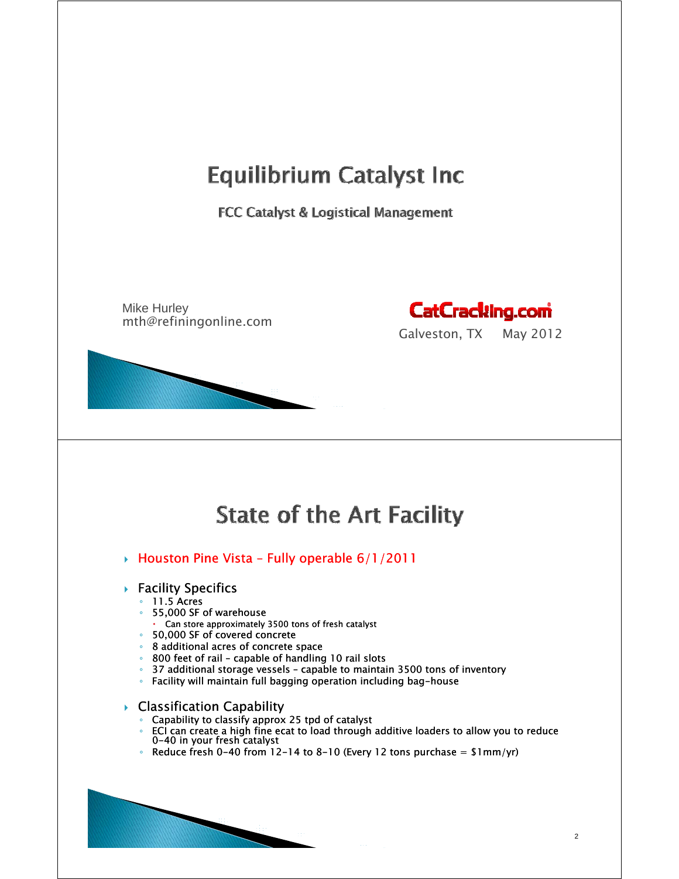### **Equilibrium Catalyst Inc**

FCC Catalyst & Logistical Management

Mike Hurley mth@refiningonline.com



Galveston, TX May 2012

## **State of the Art Facility**

- $\rightarrow$  Houston Pine Vista Fully operable 6/1/2011
- $\blacktriangleright$  Facility Specifics
	- 11.5 Acres
	- 55,000 SF of warehouse
	- Can store approximately 3500 tons of fresh catalyst
	- 50 000 SF f d 50,000 SF of covered concrete concrete
	- 8 additional acres of concrete space
	- 800 feet of rail capable of handling 10 rail slots
	- 37 additional storage vessels capable to maintain 3500 tons of inventory to
	- Facility will maintain full bagging operation including bag-house

 $\triangleright$  Classification Capability

- Capability to classify approx 25 tpd of catalyst
- ECI can create a high fine ecat to load through additive loaders to allow you to reduce 0-40 in your fresh catalyst
- Reduce fresh 0-40 from 12-14 to 8-10 (Every 12 tons purchase = \$1mm/yr)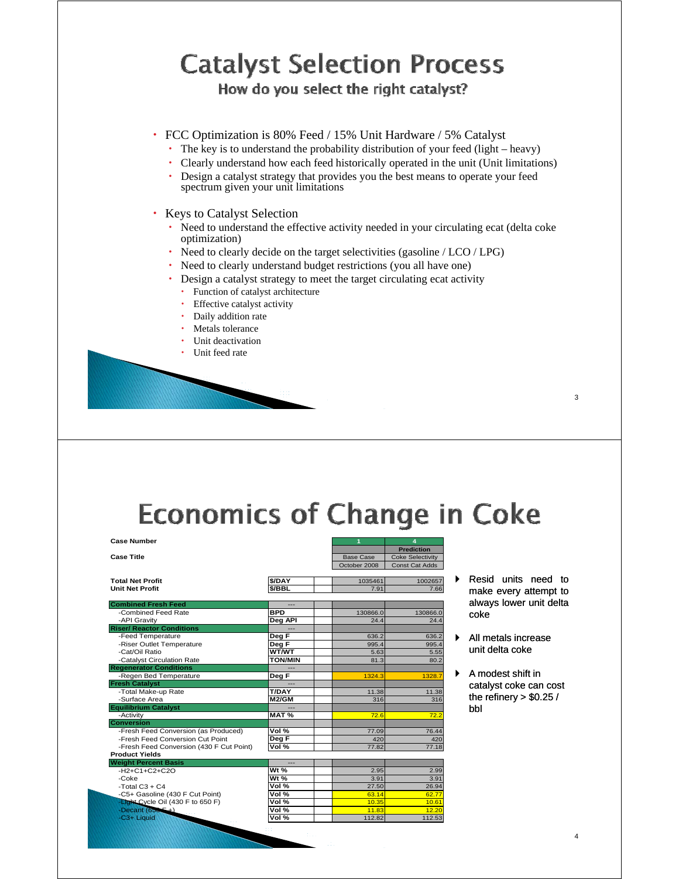# **Catalyst Selection Process**

How do you select the right catalyst?

- FCC Optimization is 80% Feed / 15% Unit Hardware / 5% Catalyst
	- The key is to understand the probability distribution of your feed (light heavy)
	- Clearly understand how each feed historically operated in the unit (Unit limitations)
	- Design a catalyst strategy that provides you the best means to operate your feed spectrum given your unit limitations
- Keys to Catalyst Selection
	- Need to understand the effective activity needed in your circulating ecat (delta coke optimization)
	- $\cdot$  Need to clearly decide on the target selectivities (gasoline / LCO / LPG)
	- Need to clearly understand budget restrictions (you all have one)
	- Design a catalyst strategy to meet the target circulating ecat activity
		- Function of catalyst architecture
		- Effective catalyst activity
		- Daily addition rate
		- Metals tolerance Unit deactivation
		- Unit feed rate

# **Economics of Change in Coke**

| <b>Case Number</b>                       |                           |                  | 4                       |                         |
|------------------------------------------|---------------------------|------------------|-------------------------|-------------------------|
|                                          |                           |                  | <b>Prediction</b>       |                         |
| <b>Case Title</b>                        |                           | <b>Base Case</b> | <b>Coke Selectivity</b> |                         |
|                                          |                           | October 2008     | <b>Const Cat Adds</b>   |                         |
| <b>Total Net Profit</b>                  | \$/DAY                    | 1035461          | 1002657                 | Resid units need to     |
| <b>Unit Net Profit</b>                   | \$/BBL                    | 7.91             | 7.66                    | make every attempt to   |
|                                          |                           |                  |                         |                         |
| <b>Combined Fresh Feed</b>               | ---                       |                  |                         | always lower unit delta |
| -Combined Feed Rate                      | <b>BPD</b>                | 130866.0         | 130866.0                | coke                    |
| -API Gravity                             | Deg API                   | 24.4             | 24.4                    |                         |
| <b>Riser/ Reactor Conditions</b>         |                           |                  |                         |                         |
| -Feed Temperature                        | Deg F                     | 636.2            | 636.2                   | All metals increase     |
| -Riser Outlet Temperature                | Deg F                     | 995.4            | 995.4                   |                         |
| -Cat/Oil Ratio                           | WT/WT                     | 5.63             | 5.55                    | unit delta coke         |
| -Catalyst Circulation Rate               | <b>TON/MIN</b>            | 81.3             | 80.2                    |                         |
| <b>Regenerator Conditions</b>            |                           |                  |                         |                         |
| -Regen Bed Temperature                   | Deg F                     | 1324.3           | 1328.7                  | A modest shift in       |
| <b>Fresh Catalyst</b>                    |                           |                  |                         | catalyst coke can cost  |
| -Total Make-up Rate                      | <b>T/DAY</b>              | 11.38            | 11.38                   |                         |
| -Surface Area                            | M2/GM                     | 316              | 316                     | the refinery $> $0.25/$ |
| <b>Equilibrium Catalyst</b>              |                           |                  |                         | bbl                     |
| -Activity                                | MAT%                      | 72.6             | 72.2                    |                         |
| Conversion                               |                           |                  |                         |                         |
| -Fresh Feed Conversion (as Produced)     | Vol %                     | 77.09            | 76.44                   |                         |
| -Fresh Feed Conversion Cut Point         | Deg F                     | 420              | 420                     |                         |
| -Fresh Feed Conversion (430 F Cut Point) | Vol %                     | 77.82            | 77.18                   |                         |
| <b>Product Yields</b>                    |                           |                  |                         |                         |
| <b>Weight Percent Basis</b>              |                           |                  |                         |                         |
| $-H2+C1+C2+C2O$                          | Wt $%$                    | 2.95             | 2.99                    |                         |
| $-Coke$                                  | Wt $%$                    | 3.91             | 3.91                    |                         |
| -Total $C3 + C4$                         | Vol %                     | 27.50            | 26.94                   |                         |
| -C5+ Gasoline (430 F Cut Point)          | Vol $%$                   | 63.14            | 62.77                   |                         |
| -Light Cycle Oil (430 F to 650 F)        | Vol $%$                   | 10.35            | 10.61                   |                         |
| -Decant $(656 - 1)$                      | $\overline{\text{Vol}}$ % | 11.83            | 12.20                   |                         |
| -C3+ Liquid                              | Vol $%$                   | 112.82           | 112.53                  |                         |
|                                          |                           |                  |                         |                         |

- make every attempt to always lower unit delta coke
- All metals increase unit delta coke
- A modest shift in the refinery  $> $0.25/$ bbl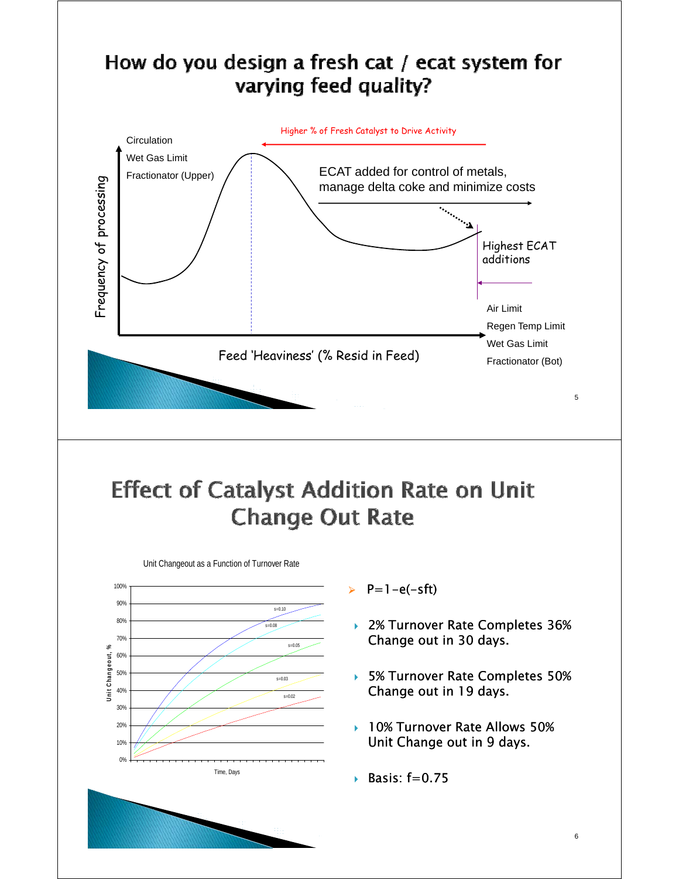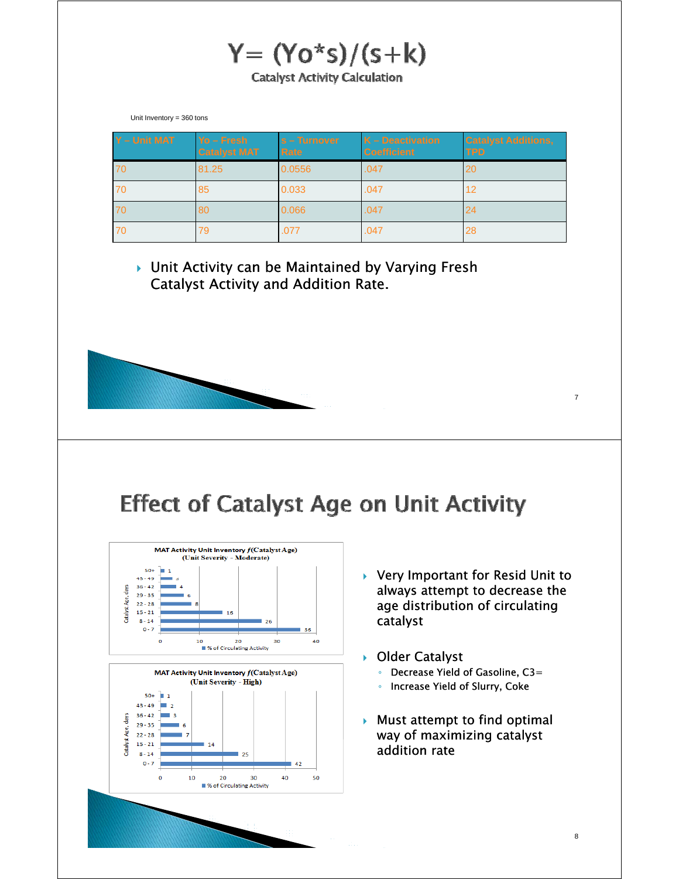$Y = (Yo<sup>*</sup>s)/(s+k)$ **Catalyst Activity Calculation** 

Unit Inventory = 360 tons

| Y - Unit MAT | $Yo - Fresh$<br><b>Catalyst MAT</b> | $s$ – Turnover<br>Rate | $K -$ Deactivation<br><b>Coefficient</b> | <b>Catalyst Additions,</b><br><b>TPD</b> |
|--------------|-------------------------------------|------------------------|------------------------------------------|------------------------------------------|
| 70           | 81.25                               | 0.0556                 | .047                                     | 20                                       |
| 70           | 85                                  | 0.033                  | .047                                     | 12                                       |
| 70           | 80                                  | 0.066                  | .047                                     | 24                                       |
| 70           | 79                                  | .077                   | .047                                     | 28                                       |

▶ Unit Activity can be Maintained by Varying Fresh Catalyst Activity and Addition Rate.

## **Effect of Catalyst Age on Unit Activity**



20

■ % of Circulating Activity

30

40

50

 $\mathbf 0$ 

10

- $\triangleright$  Very Important for Resid Unit to always attempt to decrease the age distribution of circulating catalyst
- ▶ Older Catalyst
	- Decrease Yield of Gasoline, C3=
	- Increase Yield of Slurry, Coke
- $\blacktriangleright$  Must attempt to find optimal way of maximizing catalyst addition rate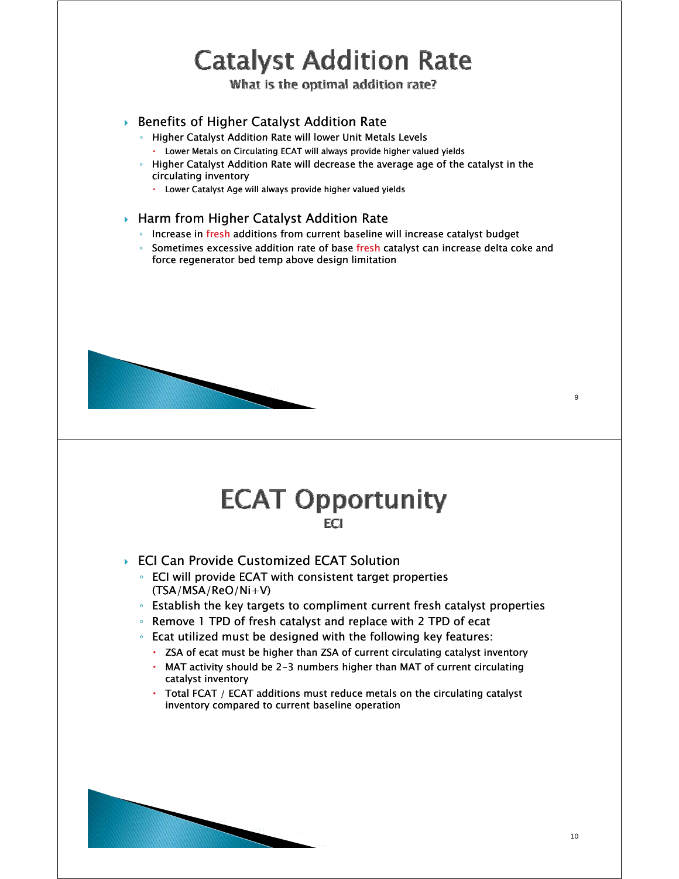# **Catalyst Addition Rate**

What is the optimal addition rate?

### ▶ Benefits of Higher Catalyst Addition Rate

- Higher Catalyst Addition Rate will lower Unit Metals Levels
	- Lower Metals on Circulating ECAT will always provide higher valued yields
- Higher Catalyst Addition Rate will decrease the average age of the catalyst in the circulating inventory
	- Lower Catalyst Age will always provide higher valued yields

#### ▶ Harm from Higher Catalyst Addition Rate

- Increase in fresh additions from current baseline will increase catalyst budget
- $\degree$  Sometimes excessive addition rate of base fresh catalyst can increase delta coke and force regenerator bed temp above design limitation



### **ECAT Opportunity** FCI.

- ▶ ECI Can Provide Customized ECAT Solution
	- ECI will provide ECAT with consistent target properties (TSA/MSA/ReO/Ni+V)
	- Establish the key targets to compliment current fresh catalyst properties
	- Remove 1 TPD of fresh catalyst and replace with 2 TPD of ecat
	- Ecat utilized must be designed with the following key features:
		- ZSA of ecat must be higher than ZSA of current circulating catalyst inventory
		- $\cdot$  MAT activity should be 2-3 numbers higher than MAT of current circulating catalyst inventory
		- Total FCAT / ECAT additions must reduce metals on the circulating catalyst inventory compared to current baseline operation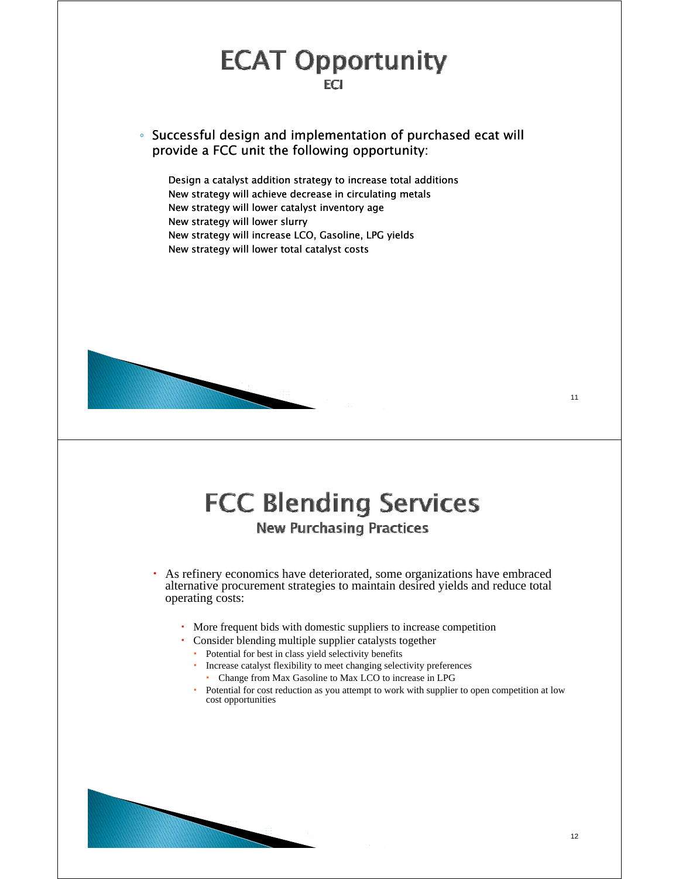# **ECAT Opportunity**

 $\cdot$  Successful design and implementation of purchased ecat will provide a FCC unit the following opportunity:

Design a catalyst addition strategy to increase total additions New strategy will achieve decrease in circulating metals New strategy will lower catalyst inventory age New strategy will lower slurry New strategy will increase LCO, Gasoline, LPG yields New strategy will lower total catalyst costs

### **FCC Blending Services New Purchasing Practices**

As refinery economics have deteriorated, some organizations have embraced alternative procurement strategies to maintain desired yields and reduce total operating costs:

- More frequent bids with domestic suppliers to increase competition
- Consider blending multiple supplier catalysts together
- Potential for best in class yield selectivity benefits
	- Increase catalyst flexibility to meet changing selectivity preferences Change from Max Gasoline to Max LCO to increase in LPG
	- Potential for cost reduction as you attempt to work with supplier to open competition at low
	- cost opportunities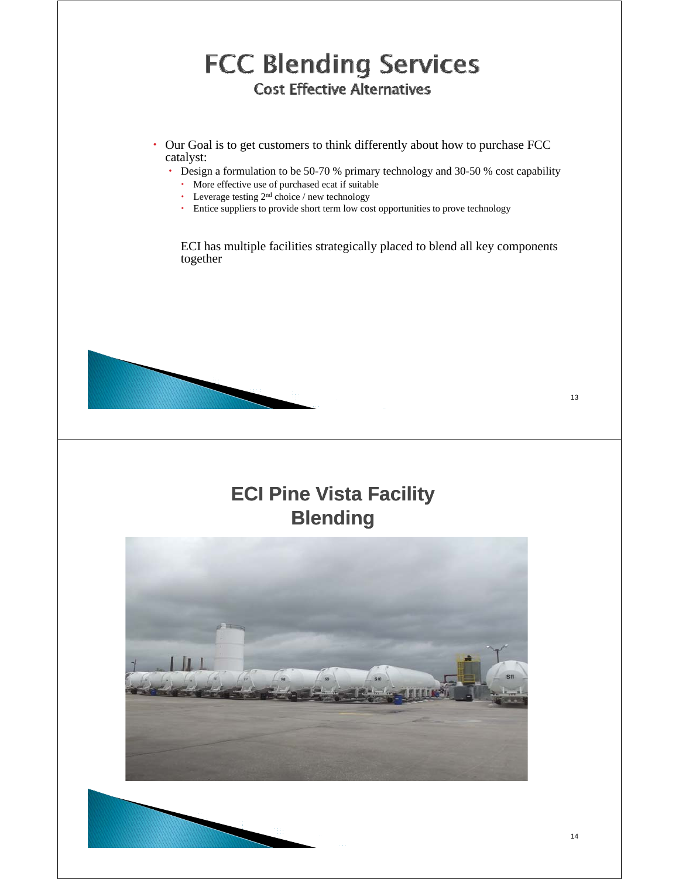### **FCC Blending Services Cost Effective Alternatives**

- Our Goal is to get customers to think differently about how to purchase FCC catalyst:
	- Design a formulation to be 50-70 % primary technology and 30-50 % cost capability
		- More effective use of purchased ecat if suitable
		- $\cdot$  Leverage testing 2<sup>nd</sup> choice / new technology
		- Entice suppliers to provide short term low cost opportunities to prove technology

ECI has multiple facilities strategically placed to blend all key components together



### **ECI Pine Vista Facility Blending**

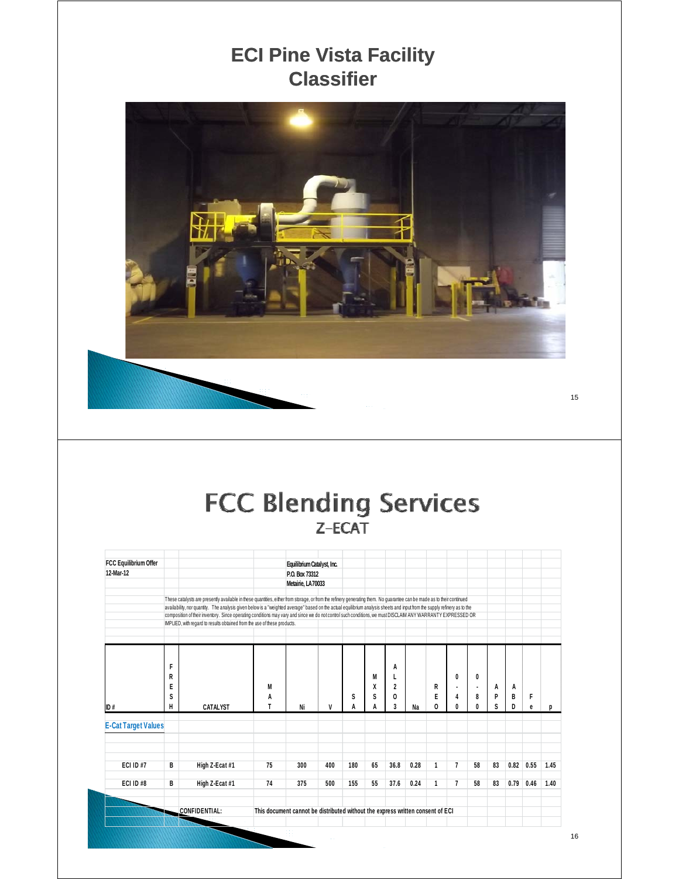### **ECI Pine Vista Facility Classifier**



### **FCC Blending Services**  $Z-ECAT$

| FCC Equilibrium Offer      |                                                                                                                                                                                                                                                                                                                                                     |                                                                                                                                                                                                                                         |                                                                                | Equilibrium Catalyst, Inc. |     |     |    |                |      |   |                |    |    |      |      |      |
|----------------------------|-----------------------------------------------------------------------------------------------------------------------------------------------------------------------------------------------------------------------------------------------------------------------------------------------------------------------------------------------------|-----------------------------------------------------------------------------------------------------------------------------------------------------------------------------------------------------------------------------------------|--------------------------------------------------------------------------------|----------------------------|-----|-----|----|----------------|------|---|----------------|----|----|------|------|------|
| 12-Mar-12                  | P.O. Box 73312<br>Metairie, LA70033                                                                                                                                                                                                                                                                                                                 |                                                                                                                                                                                                                                         |                                                                                |                            |     |     |    |                |      |   |                |    |    |      |      |      |
|                            |                                                                                                                                                                                                                                                                                                                                                     |                                                                                                                                                                                                                                         |                                                                                |                            |     |     |    |                |      |   |                |    |    |      |      |      |
|                            |                                                                                                                                                                                                                                                                                                                                                     |                                                                                                                                                                                                                                         |                                                                                |                            |     |     |    |                |      |   |                |    |    |      |      |      |
|                            | These catalysts are presently available in these quantities, either from storage, or from the refinery generating them. No guarantee can be made as to their continued<br>availability, nor quantity. The analysis given below is a "weighted average" based on the actual equilibrium analysis sheets and input from the supply refinery as to the |                                                                                                                                                                                                                                         |                                                                                |                            |     |     |    |                |      |   |                |    |    |      |      |      |
|                            |                                                                                                                                                                                                                                                                                                                                                     |                                                                                                                                                                                                                                         |                                                                                |                            |     |     |    |                |      |   |                |    |    |      |      |      |
|                            |                                                                                                                                                                                                                                                                                                                                                     | composition of their inventory. Since operating conditions may vary and since we do not control such conditions, we must DISCLAIM ANY WARRANTY EXPRESSED OR<br>IMPLIED, with regard to results obtained from the use of these products. |                                                                                |                            |     |     |    |                |      |   |                |    |    |      |      |      |
|                            |                                                                                                                                                                                                                                                                                                                                                     |                                                                                                                                                                                                                                         |                                                                                |                            |     |     |    |                |      |   |                |    |    |      |      |      |
|                            |                                                                                                                                                                                                                                                                                                                                                     |                                                                                                                                                                                                                                         |                                                                                |                            |     |     |    |                |      |   |                |    |    |      |      |      |
|                            |                                                                                                                                                                                                                                                                                                                                                     |                                                                                                                                                                                                                                         |                                                                                |                            |     |     |    |                |      |   |                |    |    |      |      |      |
|                            |                                                                                                                                                                                                                                                                                                                                                     |                                                                                                                                                                                                                                         |                                                                                |                            |     |     |    |                |      |   |                |    |    |      |      |      |
|                            | F                                                                                                                                                                                                                                                                                                                                                   |                                                                                                                                                                                                                                         |                                                                                |                            |     |     |    | A              |      |   |                |    |    |      |      |      |
|                            | R                                                                                                                                                                                                                                                                                                                                                   |                                                                                                                                                                                                                                         |                                                                                |                            |     |     | M  |                |      |   | 0              | 0  |    |      |      |      |
|                            | E                                                                                                                                                                                                                                                                                                                                                   |                                                                                                                                                                                                                                         | M                                                                              |                            |     |     | X  | $\overline{2}$ |      | R |                |    | A  | Α    |      |      |
|                            | S                                                                                                                                                                                                                                                                                                                                                   |                                                                                                                                                                                                                                         | A                                                                              |                            |     | S   | S  | 0              |      | E | 4              | 8  | P  | B    | F    |      |
| ID#                        | H                                                                                                                                                                                                                                                                                                                                                   | <b>CATALYST</b>                                                                                                                                                                                                                         |                                                                                | Ni                         | V   | A   | A  | 3              | Na   | 0 | 0              | 0  | S  | D    | e    | D    |
|                            |                                                                                                                                                                                                                                                                                                                                                     |                                                                                                                                                                                                                                         |                                                                                |                            |     |     |    |                |      |   |                |    |    |      |      |      |
| <b>E-Cat Target Values</b> |                                                                                                                                                                                                                                                                                                                                                     |                                                                                                                                                                                                                                         |                                                                                |                            |     |     |    |                |      |   |                |    |    |      |      |      |
|                            |                                                                                                                                                                                                                                                                                                                                                     |                                                                                                                                                                                                                                         |                                                                                |                            |     |     |    |                |      |   |                |    |    |      |      |      |
|                            |                                                                                                                                                                                                                                                                                                                                                     |                                                                                                                                                                                                                                         |                                                                                |                            |     |     |    |                |      |   |                |    |    |      |      |      |
|                            |                                                                                                                                                                                                                                                                                                                                                     |                                                                                                                                                                                                                                         |                                                                                |                            |     |     |    |                |      |   |                |    |    |      |      |      |
| ECI ID#7                   | В                                                                                                                                                                                                                                                                                                                                                   | High Z-Ecat #1                                                                                                                                                                                                                          | 75                                                                             | 300                        | 400 | 180 | 65 | 36.8           | 0.28 | 1 | $\overline{7}$ | 58 | 83 | 0.82 | 0.55 | 1.45 |
|                            |                                                                                                                                                                                                                                                                                                                                                     |                                                                                                                                                                                                                                         |                                                                                |                            |     |     |    |                |      |   |                |    |    |      |      |      |
| ECI ID#8                   | В                                                                                                                                                                                                                                                                                                                                                   | High Z-Ecat #1                                                                                                                                                                                                                          | 74                                                                             | 375                        | 500 | 155 | 55 | 37.6           | 0.24 | 1 | $\overline{7}$ | 58 | 83 | 0.79 | 0.46 | 1.40 |
|                            |                                                                                                                                                                                                                                                                                                                                                     |                                                                                                                                                                                                                                         |                                                                                |                            |     |     |    |                |      |   |                |    |    |      |      |      |
|                            |                                                                                                                                                                                                                                                                                                                                                     |                                                                                                                                                                                                                                         |                                                                                |                            |     |     |    |                |      |   |                |    |    |      |      |      |
|                            |                                                                                                                                                                                                                                                                                                                                                     | CONFIDENTIAL:                                                                                                                                                                                                                           | This document cannot be distributed without the express written consent of ECI |                            |     |     |    |                |      |   |                |    |    |      |      |      |
|                            |                                                                                                                                                                                                                                                                                                                                                     |                                                                                                                                                                                                                                         |                                                                                |                            |     |     |    |                |      |   |                |    |    |      |      |      |